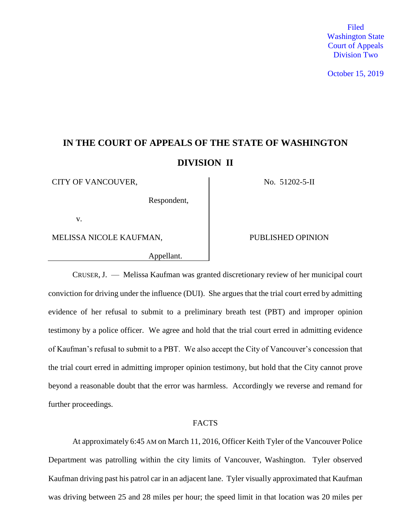Filed Washington State Court of Appeals Division Two

October 15, 2019

# **IN THE COURT OF APPEALS OF THE STATE OF WASHINGTON DIVISION II**

CITY OF VANCOUVER, No. 51202-5-II

Respondent,

v.

MELISSA NICOLE KAUFMAN, PUBLISHED OPINION

Appellant.

CRUSER,J. — Melissa Kaufman was granted discretionary review of her municipal court conviction for driving under the influence (DUI). She argues that the trial court erred by admitting evidence of her refusal to submit to a preliminary breath test (PBT) and improper opinion testimony by a police officer. We agree and hold that the trial court erred in admitting evidence of Kaufman's refusal to submit to a PBT. We also accept the City of Vancouver's concession that the trial court erred in admitting improper opinion testimony, but hold that the City cannot prove beyond a reasonable doubt that the error was harmless. Accordingly we reverse and remand for further proceedings.

#### FACTS

At approximately 6:45 AM on March 11, 2016, Officer Keith Tyler of the Vancouver Police Department was patrolling within the city limits of Vancouver, Washington. Tyler observed Kaufman driving past his patrol car in an adjacent lane. Tyler visually approximated that Kaufman was driving between 25 and 28 miles per hour; the speed limit in that location was 20 miles per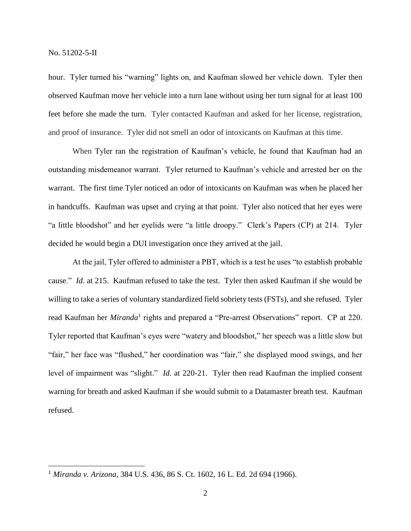hour. Tyler turned his "warning" lights on, and Kaufman slowed her vehicle down. Tyler then observed Kaufman move her vehicle into a turn lane without using her turn signal for at least 100 feet before she made the turn. Tyler contacted Kaufman and asked for her license, registration, and proof of insurance. Tyler did not smell an odor of intoxicants on Kaufman at this time.

When Tyler ran the registration of Kaufman's vehicle, he found that Kaufman had an outstanding misdemeanor warrant. Tyler returned to Kaufman's vehicle and arrested her on the warrant. The first time Tyler noticed an odor of intoxicants on Kaufman was when he placed her in handcuffs. Kaufman was upset and crying at that point. Tyler also noticed that her eyes were "a little bloodshot" and her eyelids were "a little droopy." Clerk's Papers (CP) at 214. Tyler decided he would begin a DUI investigation once they arrived at the jail.

At the jail, Tyler offered to administer a PBT, which is a test he uses "to establish probable cause." *Id.* at 215. Kaufman refused to take the test. Tyler then asked Kaufman if she would be willing to take a series of voluntary standardized field sobriety tests (FSTs), and she refused. Tyler read Kaufman her *Miranda*<sup>1</sup> rights and prepared a "Pre-arrest Observations" report. CP at 220. Tyler reported that Kaufman's eyes were "watery and bloodshot," her speech was a little slow but "fair," her face was "flushed," her coordination was "fair," she displayed mood swings, and her level of impairment was "slight." *Id.* at 220-21. Tyler then read Kaufman the implied consent warning for breath and asked Kaufman if she would submit to a Datamaster breath test. Kaufman refused.

<sup>1</sup> *Miranda v. Arizona*, 384 U.S. 436, 86 S. Ct. 1602, 16 L. Ed. 2d 694 (1966).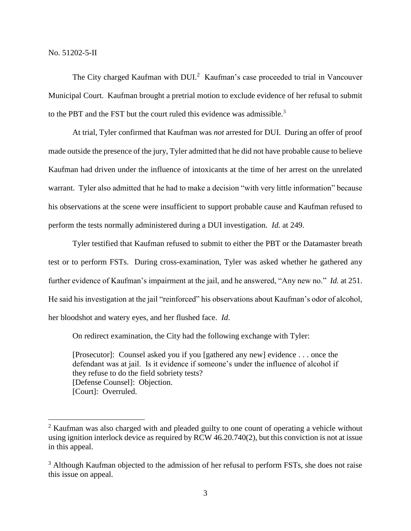$\overline{a}$ 

The City charged Kaufman with DUI.<sup>2</sup> Kaufman's case proceeded to trial in Vancouver Municipal Court. Kaufman brought a pretrial motion to exclude evidence of her refusal to submit to the PBT and the FST but the court ruled this evidence was admissible.<sup>3</sup>

At trial, Tyler confirmed that Kaufman was *not* arrested for DUI. During an offer of proof made outside the presence of the jury, Tyler admitted that he did not have probable cause to believe Kaufman had driven under the influence of intoxicants at the time of her arrest on the unrelated warrant. Tyler also admitted that he had to make a decision "with very little information" because his observations at the scene were insufficient to support probable cause and Kaufman refused to perform the tests normally administered during a DUI investigation*. Id.* at 249.

Tyler testified that Kaufman refused to submit to either the PBT or the Datamaster breath test or to perform FSTs. During cross-examination, Tyler was asked whether he gathered any further evidence of Kaufman's impairment at the jail, and he answered, "Any new no." *Id.* at 251. He said his investigation at the jail "reinforced" his observations about Kaufman's odor of alcohol, her bloodshot and watery eyes, and her flushed face. *Id*.

On redirect examination, the City had the following exchange with Tyler:

[Prosecutor]: Counsel asked you if you [gathered any new] evidence . . . once the defendant was at jail. Is it evidence if someone's under the influence of alcohol if they refuse to do the field sobriety tests? [Defense Counsel]: Objection. [Court]: Overruled.

<sup>&</sup>lt;sup>2</sup> Kaufman was also charged with and pleaded guilty to one count of operating a vehicle without using ignition interlock device as required by RCW 46.20.740(2), but this conviction is not at issue in this appeal.

<sup>&</sup>lt;sup>3</sup> Although Kaufman objected to the admission of her refusal to perform FSTs, she does not raise this issue on appeal.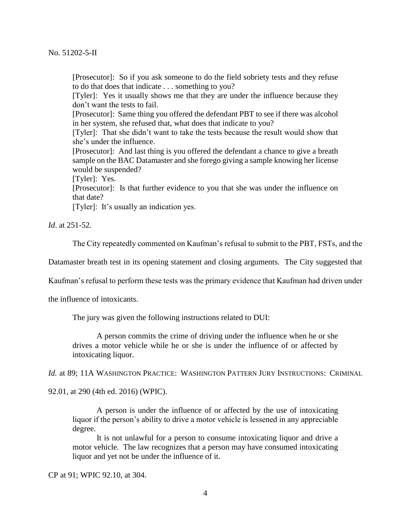[Prosecutor]: So if you ask someone to do the field sobriety tests and they refuse to do that does that indicate . . . something to you?

[Tyler]: Yes it usually shows me that they are under the influence because they don't want the tests to fail.

[Prosecutor]: Same thing you offered the defendant PBT to see if there was alcohol in her system, she refused that, what does that indicate to you?

[Tyler]: That she didn't want to take the tests because the result would show that she's under the influence.

[Prosecutor]: And last thing is you offered the defendant a chance to give a breath sample on the BAC Datamaster and she forego giving a sample knowing her license would be suspended?

[Tyler]: Yes.

[Prosecutor]: Is that further evidence to you that she was under the influence on that date?

[Tyler]: It's usually an indication yes.

*Id*. at 251-52.

The City repeatedly commented on Kaufman's refusal to submit to the PBT, FSTs, and the

Datamaster breath test in its opening statement and closing arguments. The City suggested that

Kaufman's refusal to perform these tests was the primary evidence that Kaufman had driven under

the influence of intoxicants.

The jury was given the following instructions related to DUI:

A person commits the crime of driving under the influence when he or she drives a motor vehicle while he or she is under the influence of or affected by intoxicating liquor.

*Id.* at 89; 11A WASHINGTON PRACTICE: WASHINGTON PATTERN JURY INSTRUCTIONS: CRIMINAL

92.01, at 290 (4th ed. 2016) (WPIC).

A person is under the influence of or affected by the use of intoxicating liquor if the person's ability to drive a motor vehicle is lessened in any appreciable degree.

It is not unlawful for a person to consume intoxicating liquor and drive a motor vehicle. The law recognizes that a person may have consumed intoxicating liquor and yet not be under the influence of it.

CP at 91; WPIC 92.10, at 304.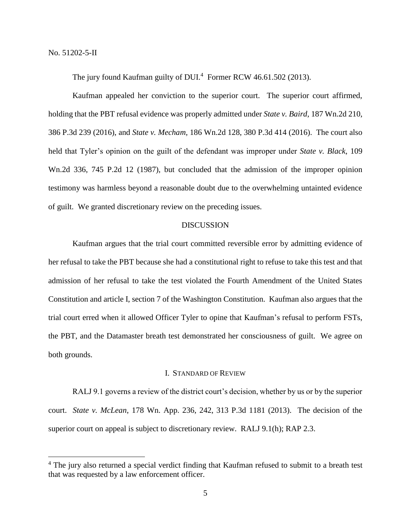$\overline{a}$ 

The jury found Kaufman guilty of DUI.<sup>4</sup> Former RCW 46.61.502 (2013).

Kaufman appealed her conviction to the superior court. The superior court affirmed, holding that the PBT refusal evidence was properly admitted under *State v. Baird*, 187 Wn.2d 210, 386 P.3d 239 (2016), and *State v. Mecham*, 186 Wn.2d 128, 380 P.3d 414 (2016). The court also held that Tyler's opinion on the guilt of the defendant was improper under *State v. Black*, 109 Wn.2d 336, 745 P.2d 12 (1987), but concluded that the admission of the improper opinion testimony was harmless beyond a reasonable doubt due to the overwhelming untainted evidence of guilt. We granted discretionary review on the preceding issues.

# DISCUSSION

Kaufman argues that the trial court committed reversible error by admitting evidence of her refusal to take the PBT because she had a constitutional right to refuse to take this test and that admission of her refusal to take the test violated the Fourth Amendment of the United States Constitution and article I, section 7 of the Washington Constitution. Kaufman also argues that the trial court erred when it allowed Officer Tyler to opine that Kaufman's refusal to perform FSTs, the PBT, and the Datamaster breath test demonstrated her consciousness of guilt. We agree on both grounds.

# I. STANDARD OF REVIEW

RALJ 9.1 governs a review of the district court's decision, whether by us or by the superior court. *State v. McLean*, 178 Wn. App. 236, 242, 313 P.3d 1181 (2013). The decision of the superior court on appeal is subject to discretionary review. RALJ 9.1(h); RAP 2.3.

<sup>&</sup>lt;sup>4</sup> The jury also returned a special verdict finding that Kaufman refused to submit to a breath test that was requested by a law enforcement officer.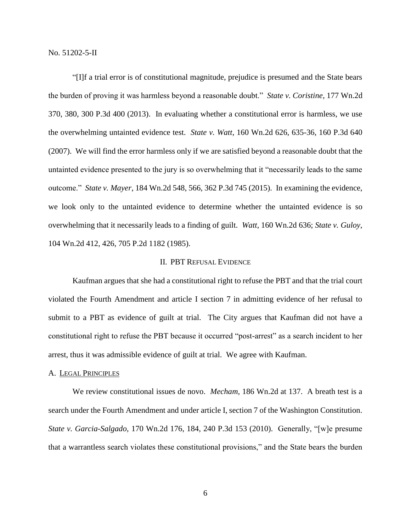"[I]f a trial error is of constitutional magnitude, prejudice is presumed and the State bears the burden of proving it was harmless beyond a reasonable doubt." *State v. Coristine*, 177 Wn.2d 370, 380, 300 P.3d 400 (2013). In evaluating whether a constitutional error is harmless, we use the overwhelming untainted evidence test. *State v. Watt*, 160 Wn.2d 626, 635-36, 160 P.3d 640 (2007). We will find the error harmless only if we are satisfied beyond a reasonable doubt that the untainted evidence presented to the jury is so overwhelming that it "necessarily leads to the same outcome." *State v. Mayer*, 184 Wn.2d 548, 566, 362 P.3d 745 (2015). In examining the evidence, we look only to the untainted evidence to determine whether the untainted evidence is so overwhelming that it necessarily leads to a finding of guilt. *Watt*, 160 Wn.2d 636; *State v. Guloy*, 104 Wn.2d 412, 426, 705 P.2d 1182 (1985).

### II. PBT REFUSAL EVIDENCE

Kaufman argues that she had a constitutional right to refuse the PBT and that the trial court violated the Fourth Amendment and article I section 7 in admitting evidence of her refusal to submit to a PBT as evidence of guilt at trial. The City argues that Kaufman did not have a constitutional right to refuse the PBT because it occurred "post-arrest" as a search incident to her arrest, thus it was admissible evidence of guilt at trial. We agree with Kaufman.

#### A. LEGAL PRINCIPLES

We review constitutional issues de novo. *Mecham*, 186 Wn.2d at 137. A breath test is a search under the Fourth Amendment and under article I, section 7 of the Washington Constitution. *State v. Garcia-Salgado*, 170 Wn.2d 176, 184, 240 P.3d 153 (2010). Generally, "[w]e presume that a warrantless search violates these constitutional provisions," and the State bears the burden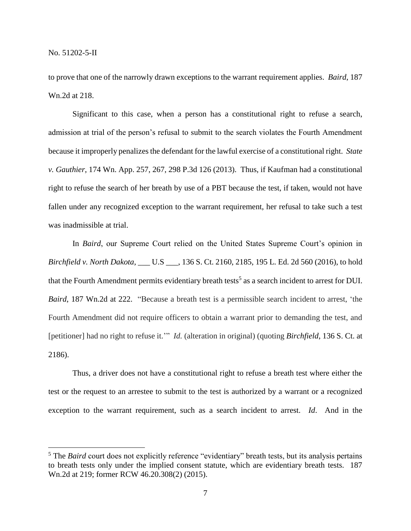to prove that one of the narrowly drawn exceptions to the warrant requirement applies. *Baird*, 187 Wn.2d at 218.

Significant to this case, when a person has a constitutional right to refuse a search, admission at trial of the person's refusal to submit to the search violates the Fourth Amendment because it improperly penalizes the defendant for the lawful exercise of a constitutional right. *State v. Gauthier*, 174 Wn. App. 257, 267, 298 P.3d 126 (2013). Thus, if Kaufman had a constitutional right to refuse the search of her breath by use of a PBT because the test, if taken, would not have fallen under any recognized exception to the warrant requirement, her refusal to take such a test was inadmissible at trial.

In *Baird*, our Supreme Court relied on the United States Supreme Court's opinion in *Birchfield v. North Dakota*, \_\_\_ U.S \_\_\_, 136 S. Ct. 2160, 2185, 195 L. Ed. 2d 560 (2016), to hold that the Fourth Amendment permits evidentiary breath tests<sup>5</sup> as a search incident to arrest for DUI. *Baird*, 187 Wn.2d at 222. "Because a breath test is a permissible search incident to arrest, 'the Fourth Amendment did not require officers to obtain a warrant prior to demanding the test, and [petitioner] had no right to refuse it.'" *Id.* (alteration in original) (quoting *Birchfield*, 136 S. Ct. at 2186).

Thus, a driver does not have a constitutional right to refuse a breath test where either the test or the request to an arrestee to submit to the test is authorized by a warrant or a recognized exception to the warrant requirement, such as a search incident to arrest. *Id*. And in the

<sup>&</sup>lt;sup>5</sup> The *Baird* court does not explicitly reference "evidentiary" breath tests, but its analysis pertains to breath tests only under the implied consent statute, which are evidentiary breath tests. 187 Wn.2d at 219; former RCW 46.20.308(2) (2015).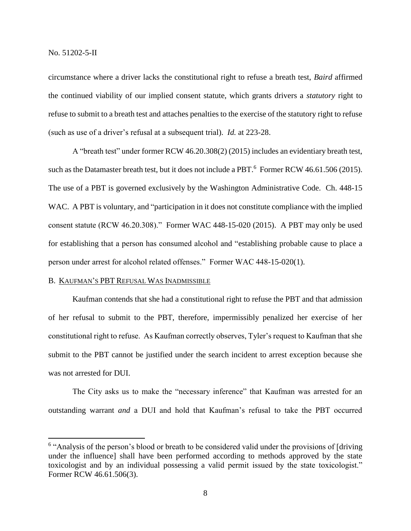circumstance where a driver lacks the constitutional right to refuse a breath test, *Baird* affirmed the continued viability of our implied consent statute, which grants drivers a *statutory* right to refuse to submit to a breath test and attaches penalties to the exercise of the statutory right to refuse (such as use of a driver's refusal at a subsequent trial). *Id.* at 223-28.

A "breath test" under former RCW 46.20.308(2) (2015) includes an evidentiary breath test, such as the Datamaster breath test, but it does not include a PBT.<sup>6</sup> Former RCW 46.61.506 (2015). The use of a PBT is governed exclusively by the Washington Administrative Code. Ch. 448-15 WAC. A PBT is voluntary, and "participation in it does not constitute compliance with the implied consent statute (RCW 46.20.308)." Former WAC 448-15-020 (2015). A PBT may only be used for establishing that a person has consumed alcohol and "establishing probable cause to place a person under arrest for alcohol related offenses." Former WAC 448-15-020(1).

#### B. KAUFMAN'S PBT REFUSAL WAS INADMISSIBLE

Kaufman contends that she had a constitutional right to refuse the PBT and that admission of her refusal to submit to the PBT, therefore, impermissibly penalized her exercise of her constitutional right to refuse. As Kaufman correctly observes, Tyler's request to Kaufman that she submit to the PBT cannot be justified under the search incident to arrest exception because she was not arrested for DUI.

The City asks us to make the "necessary inference" that Kaufman was arrested for an outstanding warrant *and* a DUI and hold that Kaufman's refusal to take the PBT occurred

<sup>&</sup>lt;sup>6</sup> "Analysis of the person's blood or breath to be considered valid under the provisions of [driving under the influence] shall have been performed according to methods approved by the state toxicologist and by an individual possessing a valid permit issued by the state toxicologist." Former RCW 46.61.506(3).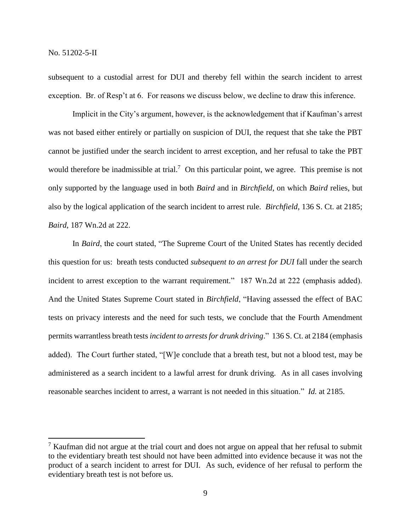subsequent to a custodial arrest for DUI and thereby fell within the search incident to arrest exception. Br. of Resp't at 6. For reasons we discuss below, we decline to draw this inference.

Implicit in the City's argument, however, is the acknowledgement that if Kaufman's arrest was not based either entirely or partially on suspicion of DUI, the request that she take the PBT cannot be justified under the search incident to arrest exception, and her refusal to take the PBT would therefore be inadmissible at trial.<sup>7</sup> On this particular point, we agree. This premise is not only supported by the language used in both *Baird* and in *Birchfield*, on which *Baird* relies, but also by the logical application of the search incident to arrest rule. *Birchfield*, 136 S. Ct. at 2185; *Baird*, 187 Wn.2d at 222.

In *Baird*, the court stated, "The Supreme Court of the United States has recently decided this question for us: breath tests conducted *subsequent to an arrest for DUI* fall under the search incident to arrest exception to the warrant requirement." 187 Wn.2d at 222 (emphasis added). And the United States Supreme Court stated in *Birchfield*, "Having assessed the effect of BAC tests on privacy interests and the need for such tests, we conclude that the Fourth Amendment permits warrantless breath tests *incident to arrests for drunk driving*." 136 S. Ct. at 2184 (emphasis added). The Court further stated, "[W]e conclude that a breath test, but not a blood test, may be administered as a search incident to a lawful arrest for drunk driving. As in all cases involving reasonable searches incident to arrest, a warrant is not needed in this situation." *Id.* at 2185.

<sup>&</sup>lt;sup>7</sup> Kaufman did not argue at the trial court and does not argue on appeal that her refusal to submit to the evidentiary breath test should not have been admitted into evidence because it was not the product of a search incident to arrest for DUI. As such, evidence of her refusal to perform the evidentiary breath test is not before us.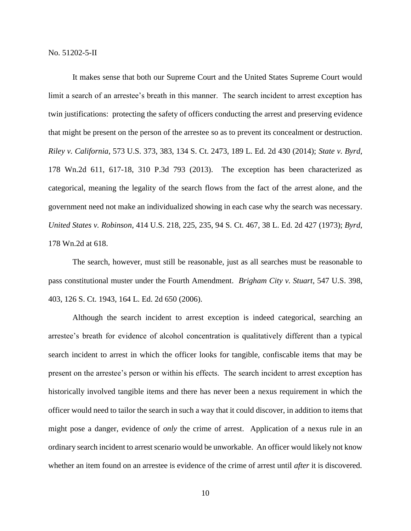It makes sense that both our Supreme Court and the United States Supreme Court would limit a search of an arrestee's breath in this manner. The search incident to arrest exception has twin justifications: protecting the safety of officers conducting the arrest and preserving evidence that might be present on the person of the arrestee so as to prevent its concealment or destruction. *Riley v. California*, 573 U.S. 373, 383, 134 S. Ct. 2473, 189 L. Ed. 2d 430 (2014); *State v. Byrd*, 178 Wn.2d 611, 617-18, 310 P.3d 793 (2013). The exception has been characterized as categorical, meaning the legality of the search flows from the fact of the arrest alone, and the government need not make an individualized showing in each case why the search was necessary. *United States v. Robinson*, 414 U.S. 218, 225, 235, 94 S. Ct. 467, 38 L. Ed. 2d 427 (1973); *Byrd*, 178 Wn.2d at 618.

The search, however, must still be reasonable, just as all searches must be reasonable to pass constitutional muster under the Fourth Amendment. *Brigham City v. Stuart*, 547 U.S. 398, 403, 126 S. Ct. 1943, 164 L. Ed. 2d 650 (2006).

Although the search incident to arrest exception is indeed categorical, searching an arrestee's breath for evidence of alcohol concentration is qualitatively different than a typical search incident to arrest in which the officer looks for tangible, confiscable items that may be present on the arrestee's person or within his effects. The search incident to arrest exception has historically involved tangible items and there has never been a nexus requirement in which the officer would need to tailor the search in such a way that it could discover, in addition to items that might pose a danger, evidence of *only* the crime of arrest. Application of a nexus rule in an ordinary search incident to arrest scenario would be unworkable. An officer would likely not know whether an item found on an arrestee is evidence of the crime of arrest until *after* it is discovered.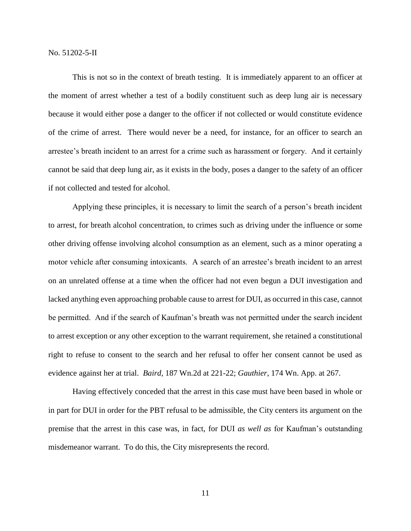This is not so in the context of breath testing. It is immediately apparent to an officer at the moment of arrest whether a test of a bodily constituent such as deep lung air is necessary because it would either pose a danger to the officer if not collected or would constitute evidence of the crime of arrest. There would never be a need, for instance, for an officer to search an arrestee's breath incident to an arrest for a crime such as harassment or forgery. And it certainly cannot be said that deep lung air, as it exists in the body, poses a danger to the safety of an officer if not collected and tested for alcohol.

Applying these principles, it is necessary to limit the search of a person's breath incident to arrest, for breath alcohol concentration, to crimes such as driving under the influence or some other driving offense involving alcohol consumption as an element, such as a minor operating a motor vehicle after consuming intoxicants. A search of an arrestee's breath incident to an arrest on an unrelated offense at a time when the officer had not even begun a DUI investigation and lacked anything even approaching probable cause to arrest for DUI, as occurred in this case, cannot be permitted. And if the search of Kaufman's breath was not permitted under the search incident to arrest exception or any other exception to the warrant requirement, she retained a constitutional right to refuse to consent to the search and her refusal to offer her consent cannot be used as evidence against her at trial. *Baird*, 187 Wn.2d at 221-22; *Gauthier*, 174 Wn. App. at 267.

Having effectively conceded that the arrest in this case must have been based in whole or in part for DUI in order for the PBT refusal to be admissible, the City centers its argument on the premise that the arrest in this case was, in fact, for DUI *as well as* for Kaufman's outstanding misdemeanor warrant. To do this, the City misrepresents the record.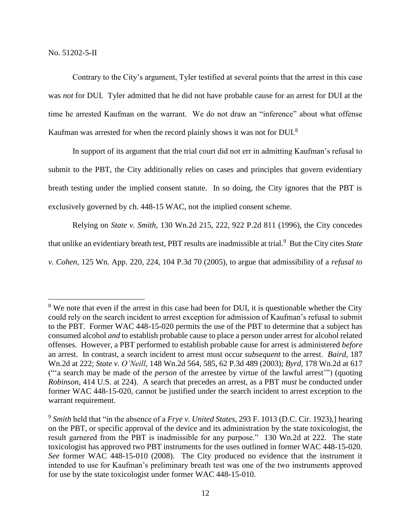$\overline{a}$ 

Contrary to the City's argument, Tyler testified at several points that the arrest in this case was *not* for DUI. Tyler admitted that he did not have probable cause for an arrest for DUI at the time he arrested Kaufman on the warrant. We do not draw an "inference" about what offense Kaufman was arrested for when the record plainly shows it was not for DUI.<sup>8</sup>

In support of its argument that the trial court did not err in admitting Kaufman's refusal to submit to the PBT, the City additionally relies on cases and principles that govern evidentiary breath testing under the implied consent statute. In so doing, the City ignores that the PBT is exclusively governed by ch. 448-15 WAC, not the implied consent scheme.

Relying on *State v. Smith*, 130 Wn.2d 215, 222, 922 P.2d 811 (1996), the City concedes that unlike an evidentiary breath test, PBT results are inadmissible at trial.<sup>9</sup> But the City cites State *v. Cohen*, 125 Wn. App. 220, 224, 104 P.3d 70 (2005), to argue that admissibility of a *refusal to* 

<sup>&</sup>lt;sup>8</sup> We note that even if the arrest in this case had been for DUI, it is questionable whether the City could rely on the search incident to arrest exception for admission of Kaufman's refusal to submit to the PBT. Former WAC 448-15-020 permits the use of the PBT to determine that a subject has consumed alcohol *and* to establish probable cause to place a person under arrest for alcohol related offenses. However, a PBT performed to establish probable cause for arrest is administered *before* an arrest. In contrast, a search incident to arrest must occur *subsequent* to the arrest. *Baird*, 187 Wn.2d at 222; *State v. O'Neill*, 148 Wn.2d 564, 585, 62 P.3d 489 (2003); *Byrd*, 178 Wn.2d at 617 ("'a search may be made of the *person* of the arrestee by virtue of the lawful arrest'") (quoting *Robinson*, 414 U.S. at 224). A search that precedes an arrest, as a PBT *must* be conducted under former WAC 448-15-020, cannot be justified under the search incident to arrest exception to the warrant requirement.

<sup>9</sup> *Smith* held that "in the absence of a *Frye v. United States*, 293 F. 1013 (D.C. Cir. 1923),] hearing on the PBT, or specific approval of the device and its administration by the state toxicologist, the result garnered from the PBT is inadmissible for any purpose."130 Wn.2d at 222. The state toxicologist has approved two PBT instruments for the uses outlined in former WAC 448-15-020. *See* former WAC 448-15-010 (2008). The City produced no evidence that the instrument it intended to use for Kaufman's preliminary breath test was one of the two instruments approved for use by the state toxicologist under former WAC 448-15-010.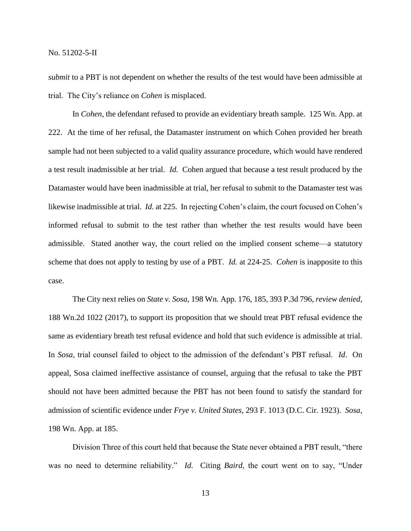*submit* to a PBT is not dependent on whether the results of the test would have been admissible at trial. The City's reliance on *Cohen* is misplaced.

In *Cohen*, the defendant refused to provide an evidentiary breath sample. 125 Wn. App. at 222. At the time of her refusal, the Datamaster instrument on which Cohen provided her breath sample had not been subjected to a valid quality assurance procedure, which would have rendered a test result inadmissible at her trial. *Id.* Cohen argued that because a test result produced by the Datamaster would have been inadmissible at trial, her refusal to submit to the Datamaster test was likewise inadmissible at trial. *Id.* at 225. In rejecting Cohen's claim, the court focused on Cohen's informed refusal to submit to the test rather than whether the test results would have been admissible. Stated another way, the court relied on the implied consent scheme—a statutory scheme that does not apply to testing by use of a PBT. *Id.* at 224-25. *Cohen* is inapposite to this case.

The City next relies on *State v. Sosa*, 198 Wn. App. 176, 185, 393 P.3d 796, *review denied*, 188 Wn.2d 1022 (2017), to support its proposition that we should treat PBT refusal evidence the same as evidentiary breath test refusal evidence and hold that such evidence is admissible at trial. In *Sosa*, trial counsel failed to object to the admission of the defendant's PBT refusal. *Id*. On appeal, Sosa claimed ineffective assistance of counsel, arguing that the refusal to take the PBT should not have been admitted because the PBT has not been found to satisfy the standard for admission of scientific evidence under *Frye v. United States*, 293 F. 1013 (D.C. Cir. 1923). *Sosa*, 198 Wn. App. at 185.

Division Three of this court held that because the State never obtained a PBT result, "there was no need to determine reliability." *Id*. Citing *Baird*, the court went on to say, "Under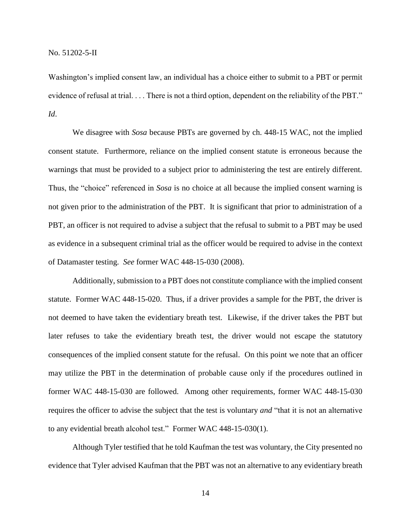Washington's implied consent law, an individual has a choice either to submit to a PBT or permit evidence of refusal at trial. . . . There is not a third option, dependent on the reliability of the PBT." *Id*.

We disagree with *Sosa* because PBTs are governed by ch. 448-15 WAC, not the implied consent statute. Furthermore, reliance on the implied consent statute is erroneous because the warnings that must be provided to a subject prior to administering the test are entirely different. Thus, the "choice" referenced in *Sosa* is no choice at all because the implied consent warning is not given prior to the administration of the PBT. It is significant that prior to administration of a PBT, an officer is not required to advise a subject that the refusal to submit to a PBT may be used as evidence in a subsequent criminal trial as the officer would be required to advise in the context of Datamaster testing. *See* former WAC 448-15-030 (2008).

Additionally, submission to a PBT does not constitute compliance with the implied consent statute. Former WAC 448-15-020. Thus, if a driver provides a sample for the PBT, the driver is not deemed to have taken the evidentiary breath test. Likewise, if the driver takes the PBT but later refuses to take the evidentiary breath test, the driver would not escape the statutory consequences of the implied consent statute for the refusal. On this point we note that an officer may utilize the PBT in the determination of probable cause only if the procedures outlined in former WAC 448-15-030 are followed. Among other requirements, former WAC 448-15-030 requires the officer to advise the subject that the test is voluntary *and* "that it is not an alternative to any evidential breath alcohol test." Former WAC 448-15-030(1).

Although Tyler testified that he told Kaufman the test was voluntary, the City presented no evidence that Tyler advised Kaufman that the PBT was not an alternative to any evidentiary breath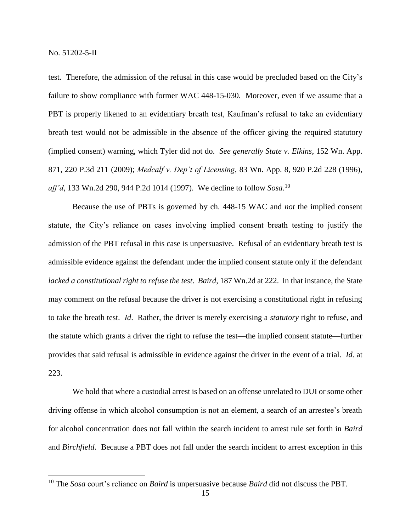$\overline{a}$ 

test. Therefore, the admission of the refusal in this case would be precluded based on the City's failure to show compliance with former WAC 448-15-030. Moreover, even if we assume that a PBT is properly likened to an evidentiary breath test, Kaufman's refusal to take an evidentiary breath test would not be admissible in the absence of the officer giving the required statutory (implied consent) warning, which Tyler did not do. *See generally State v. Elkins*, 152 Wn. App. 871, 220 P.3d 211 (2009); *Medcalf v. Dep't of Licensing*, 83 Wn. App. 8, 920 P.2d 228 (1996), *aff'd*, 133 Wn.2d 290, 944 P.2d 1014 (1997). We decline to follow *Sosa*. 10

Because the use of PBTs is governed by ch. 448-15 WAC and *not* the implied consent statute, the City's reliance on cases involving implied consent breath testing to justify the admission of the PBT refusal in this case is unpersuasive. Refusal of an evidentiary breath test is admissible evidence against the defendant under the implied consent statute only if the defendant *lacked a constitutional right to refuse the test*. *Baird*, 187 Wn.2d at 222. In that instance, the State may comment on the refusal because the driver is not exercising a constitutional right in refusing to take the breath test. *Id*. Rather, the driver is merely exercising a *statutory* right to refuse, and the statute which grants a driver the right to refuse the test—the implied consent statute—further provides that said refusal is admissible in evidence against the driver in the event of a trial. *Id.* at 223.

We hold that where a custodial arrest is based on an offense unrelated to DUI or some other driving offense in which alcohol consumption is not an element, a search of an arrestee's breath for alcohol concentration does not fall within the search incident to arrest rule set forth in *Baird* and *Birchfield*. Because a PBT does not fall under the search incident to arrest exception in this

<sup>10</sup> The *Sosa* court's reliance on *Baird* is unpersuasive because *Baird* did not discuss the PBT.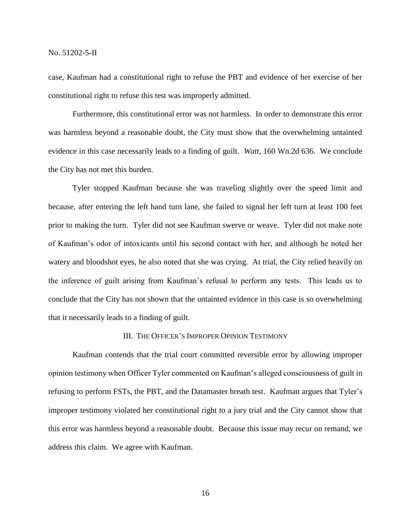case, Kaufman had a constitutional right to refuse the PBT and evidence of her exercise of her constitutional right to refuse this test was improperly admitted.

Furthermore, this constitutional error was not harmless. In order to demonstrate this error was harmless beyond a reasonable doubt, the City must show that the overwhelming untainted evidence in this case necessarily leads to a finding of guilt. *Watt*, 160 Wn.2d 636. We conclude the City has not met this burden.

Tyler stopped Kaufman because she was traveling slightly over the speed limit and because, after entering the left hand turn lane, she failed to signal her left turn at least 100 feet prior to making the turn. Tyler did not see Kaufman swerve or weave. Tyler did not make note of Kaufman's odor of intoxicants until his second contact with her, and although he noted her watery and bloodshot eyes, he also noted that she was crying. At trial, the City relied heavily on the inference of guilt arising from Kaufman's refusal to perform any tests. This leads us to conclude that the City has not shown that the untainted evidence in this case is so overwhelming that it necessarily leads to a finding of guilt.

### III. THE OFFICER'S IMPROPER OPINION TESTIMONY

Kaufman contends that the trial court committed reversible error by allowing improper opinion testimony when Officer Tyler commented on Kaufman's alleged consciousness of guilt in refusing to perform FSTs, the PBT, and the Datamaster breath test. Kaufman argues that Tyler's improper testimony violated her constitutional right to a jury trial and the City cannot show that this error was harmless beyond a reasonable doubt. Because this issue may recur on remand, we address this claim. We agree with Kaufman.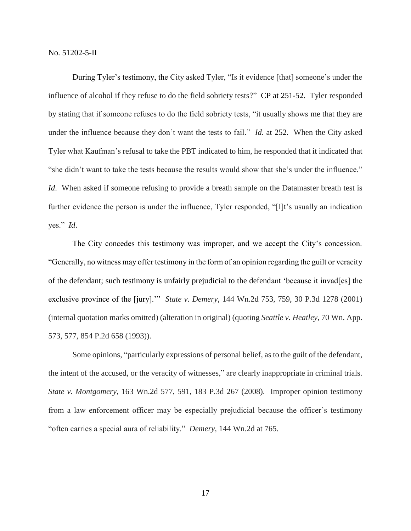During Tyler's testimony, the City asked Tyler, "Is it evidence [that] someone's under the influence of alcohol if they refuse to do the field sobriety tests?" CP at 251-52. Tyler responded by stating that if someone refuses to do the field sobriety tests, "it usually shows me that they are under the influence because they don't want the tests to fail." *Id.* at 252. When the City asked Tyler what Kaufman's refusal to take the PBT indicated to him, he responded that it indicated that "she didn't want to take the tests because the results would show that she's under the influence." *Id.* When asked if someone refusing to provide a breath sample on the Datamaster breath test is further evidence the person is under the influence, Tyler responded, "[I]t's usually an indication yes." *Id*.

The City concedes this testimony was improper, and we accept the City's concession. "Generally, no witness may offer testimony in the form of an opinion regarding the guilt or veracity of the defendant; such testimony is unfairly prejudicial to the defendant 'because it invad[es] the exclusive province of the [jury].'" *State v. Demery*, 144 Wn.2d 753, 759, 30 P.3d 1278 (2001) (internal quotation marks omitted) (alteration in original) (quoting *Seattle v. Heatley*, 70 Wn. App. 573, 577, 854 P.2d 658 (1993)).

Some opinions, "particularly expressions of personal belief, as to the guilt of the defendant, the intent of the accused, or the veracity of witnesses," are clearly inappropriate in criminal trials. *State v. Montgomery*, 163 Wn.2d 577, 591, 183 P.3d 267 (2008). Improper opinion testimony from a law enforcement officer may be especially prejudicial because the officer's testimony "often carries a special aura of reliability." *Demery*, 144 Wn.2d at 765.

17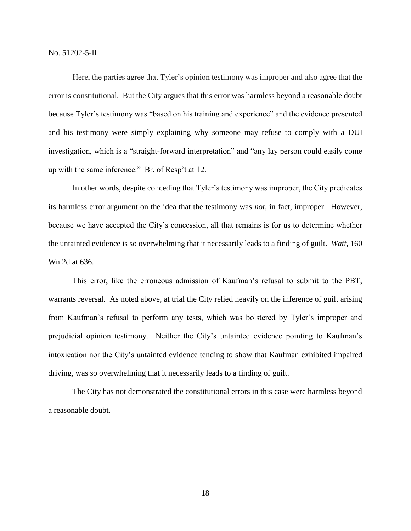Here, the parties agree that Tyler's opinion testimony was improper and also agree that the error is constitutional. But the City argues that this error was harmless beyond a reasonable doubt because Tyler's testimony was "based on his training and experience" and the evidence presented and his testimony were simply explaining why someone may refuse to comply with a DUI investigation, which is a "straight-forward interpretation" and "any lay person could easily come up with the same inference." Br. of Resp't at 12.

In other words, despite conceding that Tyler's testimony was improper, the City predicates its harmless error argument on the idea that the testimony was *not*, in fact, improper. However, because we have accepted the City's concession, all that remains is for us to determine whether the untainted evidence is so overwhelming that it necessarily leads to a finding of guilt. *Watt*, 160 Wn.2d at 636.

This error, like the erroneous admission of Kaufman's refusal to submit to the PBT, warrants reversal. As noted above, at trial the City relied heavily on the inference of guilt arising from Kaufman's refusal to perform any tests, which was bolstered by Tyler's improper and prejudicial opinion testimony. Neither the City's untainted evidence pointing to Kaufman's intoxication nor the City's untainted evidence tending to show that Kaufman exhibited impaired driving, was so overwhelming that it necessarily leads to a finding of guilt.

The City has not demonstrated the constitutional errors in this case were harmless beyond a reasonable doubt.

18